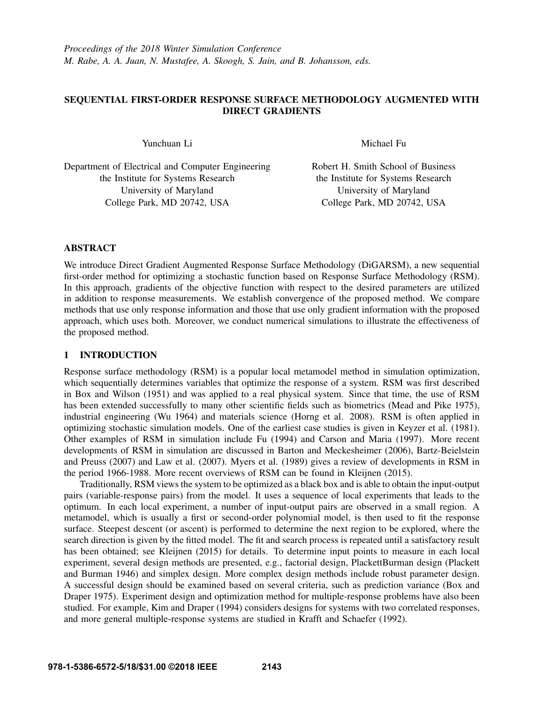# SEQUENTIAL FIRST-ORDER RESPONSE SURFACE METHODOLOGY AUGMENTED WITH DIRECT GRADIENTS

Yunchuan Li

Michael Fu

Department of Electrical and Computer Engineering the Institute for Systems Research University of Maryland College Park, MD 20742, USA

Robert H. Smith School of Business the Institute for Systems Research University of Maryland College Park, MD 20742, USA

## ABSTRACT

We introduce Direct Gradient Augmented Response Surface Methodology (DiGARSM), a new sequential first-order method for optimizing a stochastic function based on Response Surface Methodology (RSM). In this approach, gradients of the objective function with respect to the desired parameters are utilized in addition to response measurements. We establish convergence of the proposed method. We compare methods that use only response information and those that use only gradient information with the proposed approach, which uses both. Moreover, we conduct numerical simulations to illustrate the effectiveness of the proposed method.

## 1 INTRODUCTION

Response surface methodology (RSM) is a popular local metamodel method in simulation optimization, which sequentially determines variables that optimize the response of a system. RSM was first described in Box and Wilson (1951) and was applied to a real physical system. Since that time, the use of RSM has been extended successfully to many other scientific fields such as biometrics (Mead and Pike 1975), industrial engineering (Wu 1964) and materials science (Horng et al. 2008). RSM is often applied in optimizing stochastic simulation models. One of the earliest case studies is given in Keyzer et al. (1981). Other examples of RSM in simulation include Fu (1994) and Carson and Maria (1997). More recent developments of RSM in simulation are discussed in Barton and Meckesheimer (2006), Bartz-Beielstein and Preuss (2007) and Law et al. (2007). Myers et al. (1989) gives a review of developments in RSM in the period 1966-1988. More recent overviews of RSM can be found in Kleijnen (2015).

Traditionally, RSM views the system to be optimized as a black box and is able to obtain the input-output pairs (variable-response pairs) from the model. It uses a sequence of local experiments that leads to the optimum. In each local experiment, a number of input-output pairs are observed in a small region. A metamodel, which is usually a first or second-order polynomial model, is then used to fit the response surface. Steepest descent (or ascent) is performed to determine the next region to be explored, where the search direction is given by the fitted model. The fit and search process is repeated until a satisfactory result has been obtained; see Kleijnen (2015) for details. To determine input points to measure in each local experiment, several design methods are presented, e.g., factorial design, PlackettBurman design (Plackett and Burman 1946) and simplex design. More complex design methods include robust parameter design. A successful design should be examined based on several criteria, such as prediction variance (Box and Draper 1975). Experiment design and optimization method for multiple-response problems have also been studied. For example, Kim and Draper (1994) considers designs for systems with two correlated responses, and more general multiple-response systems are studied in Krafft and Schaefer (1992).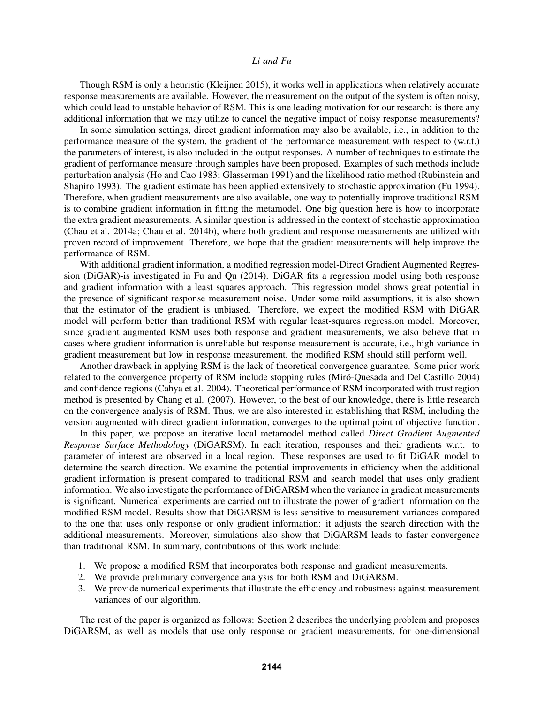Though RSM is only a heuristic (Kleijnen 2015), it works well in applications when relatively accurate response measurements are available. However, the measurement on the output of the system is often noisy, which could lead to unstable behavior of RSM. This is one leading motivation for our research: is there any additional information that we may utilize to cancel the negative impact of noisy response measurements?

In some simulation settings, direct gradient information may also be available, i.e., in addition to the performance measure of the system, the gradient of the performance measurement with respect to (w.r.t.) the parameters of interest, is also included in the output responses. A number of techniques to estimate the gradient of performance measure through samples have been proposed. Examples of such methods include perturbation analysis (Ho and Cao 1983; Glasserman 1991) and the likelihood ratio method (Rubinstein and Shapiro 1993). The gradient estimate has been applied extensively to stochastic approximation (Fu 1994). Therefore, when gradient measurements are also available, one way to potentially improve traditional RSM is to combine gradient information in fitting the metamodel. One big question here is how to incorporate the extra gradient measurements. A similar question is addressed in the context of stochastic approximation (Chau et al. 2014a; Chau et al. 2014b), where both gradient and response measurements are utilized with proven record of improvement. Therefore, we hope that the gradient measurements will help improve the performance of RSM.

With additional gradient information, a modified regression model-Direct Gradient Augmented Regression (DiGAR)-is investigated in Fu and Qu (2014). DiGAR fits a regression model using both response and gradient information with a least squares approach. This regression model shows great potential in the presence of significant response measurement noise. Under some mild assumptions, it is also shown that the estimator of the gradient is unbiased. Therefore, we expect the modified RSM with DiGAR model will perform better than traditional RSM with regular least-squares regression model. Moreover, since gradient augmented RSM uses both response and gradient measurements, we also believe that in cases where gradient information is unreliable but response measurement is accurate, i.e., high variance in gradient measurement but low in response measurement, the modified RSM should still perform well.

Another drawback in applying RSM is the lack of theoretical convergence guarantee. Some prior work related to the convergence property of RSM include stopping rules (Miró-Quesada and Del Castillo 2004) and confidence regions (Cahya et al. 2004). Theoretical performance of RSM incorporated with trust region method is presented by Chang et al. (2007). However, to the best of our knowledge, there is little research on the convergence analysis of RSM. Thus, we are also interested in establishing that RSM, including the version augmented with direct gradient information, converges to the optimal point of objective function.

In this paper, we propose an iterative local metamodel method called *Direct Gradient Augmented Response Surface Methodology* (DiGARSM). In each iteration, responses and their gradients w.r.t. to parameter of interest are observed in a local region. These responses are used to fit DiGAR model to determine the search direction. We examine the potential improvements in efficiency when the additional gradient information is present compared to traditional RSM and search model that uses only gradient information. We also investigate the performance of DiGARSM when the variance in gradient measurements is significant. Numerical experiments are carried out to illustrate the power of gradient information on the modified RSM model. Results show that DiGARSM is less sensitive to measurement variances compared to the one that uses only response or only gradient information: it adjusts the search direction with the additional measurements. Moreover, simulations also show that DiGARSM leads to faster convergence than traditional RSM. In summary, contributions of this work include:

- 1. We propose a modified RSM that incorporates both response and gradient measurements.
- 2. We provide preliminary convergence analysis for both RSM and DiGARSM.
- 3. We provide numerical experiments that illustrate the efficiency and robustness against measurement variances of our algorithm.

The rest of the paper is organized as follows: Section 2 describes the underlying problem and proposes DiGARSM, as well as models that use only response or gradient measurements, for one-dimensional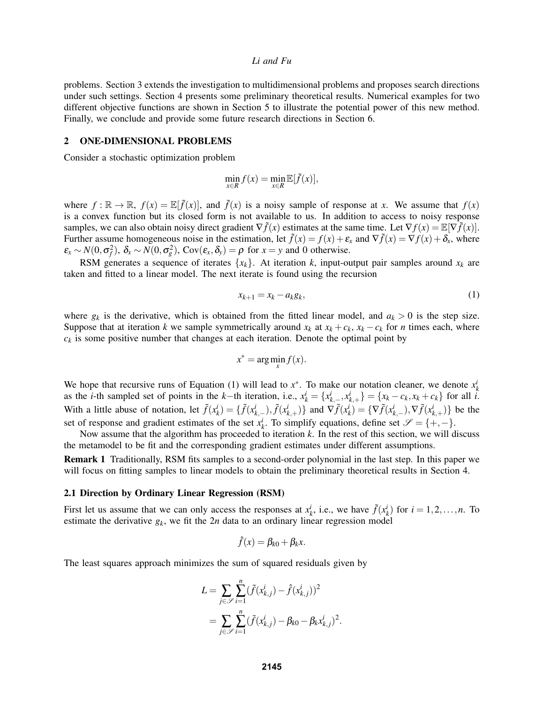problems. Section 3 extends the investigation to multidimensional problems and proposes search directions under such settings. Section 4 presents some preliminary theoretical results. Numerical examples for two different objective functions are shown in Section 5 to illustrate the potential power of this new method. Finally, we conclude and provide some future research directions in Section 6.

#### 2 ONE-DIMENSIONAL PROBLEMS

Consider a stochastic optimization problem

$$
\min_{x \in R} f(x) = \min_{x \in R} \mathbb{E}[\tilde{f}(x)],
$$

where  $f : \mathbb{R} \to \mathbb{R}$ ,  $f(x) = \mathbb{E}[\tilde{f}(x)]$ , and  $\tilde{f}(x)$  is a noisy sample of response at *x*. We assume that  $f(x)$ is a convex function but its closed form is not available to us. In addition to access to noisy response samples, we can also obtain noisy direct gradient  $\nabla f(x)$  estimates at the same time. Let  $\nabla f(x) = \mathbb{E}[\nabla f(x)]$ . Further assume homogeneous noise in the estimation, let  $\tilde{f}(x) = f(x) + \varepsilon_x$  and  $\nabla \tilde{f}(x) = \nabla f(x) + \delta_x$ , where  $\epsilon_x \sim N(0, \sigma_f^2)$ ,  $\delta_x \sim N(0, \sigma_g^2)$ , Cov $(\epsilon_x, \delta_y) = \rho$  for  $x = y$  and 0 otherwise.

RSM generates a sequence of iterates  $\{x_k\}$ . At iteration *k*, input-output pair samples around  $x_k$  are taken and fitted to a linear model. The next iterate is found using the recursion

$$
x_{k+1} = x_k - a_k g_k, \tag{1}
$$

where  $g_k$  is the derivative, which is obtained from the fitted linear model, and  $a_k > 0$  is the step size. Suppose that at iteration *k* we sample symmetrically around  $x_k$  at  $x_k + c_k$ ,  $x_k - c_k$  for *n* times each, where  $c_k$  is some positive number that changes at each iteration. Denote the optimal point by

$$
x^* = \arg\min_x f(x).
$$

We hope that recursive runs of Equation (1) will lead to  $x^*$ . To make our notation cleaner, we denote  $x^i_k$ as the *i*-th sampled set of points in the *k*-th iteration, i.e.,  $x_k^i = \{x_{k-1}^i, x_{k+1}^i\} = \{x_k - c_k, x_k + c_k\}$  for all  $\hat{i}$ . With a little abuse of notation, let  $\tilde{f}(x_k^i) = \{\tilde{f}(x_{k,-}^i), \tilde{f}(x_{k,+}^i)\}\$ and  $\nabla \tilde{f}(x_k^i) = \{\nabla \tilde{f}(x_{k,-}^i), \nabla \tilde{f}(x_{k,+}^i)\}\$ be the set of response and gradient estimates of the set  $x_k^i$ . To simplify equations, define set  $\mathscr{S} = \{+, -\}.$ 

Now assume that the algorithm has proceeded to iteration *k*. In the rest of this section, we will discuss the metamodel to be fit and the corresponding gradient estimates under different assumptions.

Remark 1 Traditionally, RSM fits samples to a second-order polynomial in the last step. In this paper we will focus on fitting samples to linear models to obtain the preliminary theoretical results in Section 4.

#### 2.1 Direction by Ordinary Linear Regression (RSM)

First let us assume that we can only access the responses at  $x_k^i$ , i.e., we have  $\tilde{f}(x_k^i)$  for  $i = 1, 2, ..., n$ . To estimate the derivative  $g_k$ , we fit the  $2n$  data to an ordinary linear regression model

$$
\hat{f}(x) = \beta_{k0} + \beta_k x.
$$

The least squares approach minimizes the sum of squared residuals given by

$$
L = \sum_{j \in \mathcal{S}} \sum_{i=1}^{n} (\tilde{f}(x_{k,j}^i) - \hat{f}(x_{k,j}^i))^2
$$
  
= 
$$
\sum_{j \in \mathcal{S}} \sum_{i=1}^{n} (\tilde{f}(x_{k,j}^i) - \beta_{k0} - \beta_k x_{k,j}^i)^2.
$$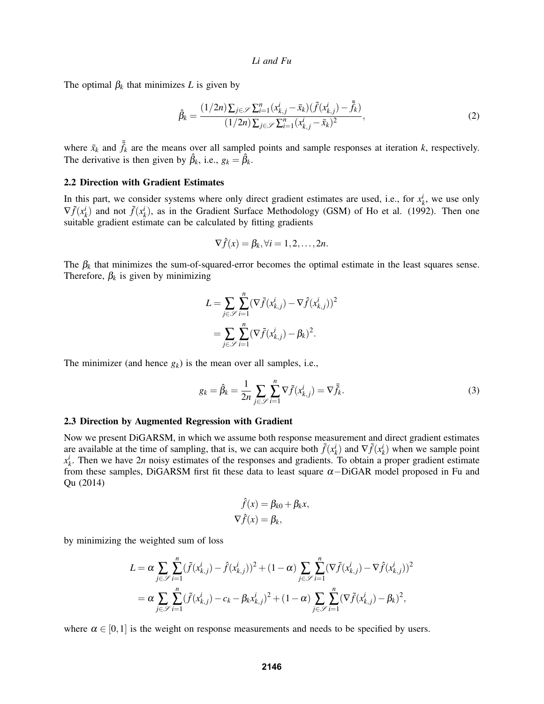The optimal  $\beta_k$  that minimizes *L* is given by

$$
\hat{\beta}_k = \frac{(1/2n)\sum_{j \in \mathscr{S}} \sum_{i=1}^n (x_{k,j}^i - \bar{x}_k)(\tilde{f}(x_{k,j}^i) - \bar{\tilde{f}}_k)}{(1/2n)\sum_{j \in \mathscr{S}} \sum_{i=1}^n (x_{k,j}^i - \bar{x}_k)^2},
$$
\n(2)

where  $\bar{x}_k$  and  $\bar{\tilde{f}}_k$  are the means over all sampled points and sample responses at iteration *k*, respectively. The derivative is then given by  $\hat{\beta}_k$ , i.e.,  $g_k = \hat{\beta}_k$ .

#### 2.2 Direction with Gradient Estimates

In this part, we consider systems where only direct gradient estimates are used, i.e., for  $x_k^i$ , we use only  $\nabla \tilde{f}(x_k^i)$  and not  $\tilde{f}(x_k^i)$ , as in the Gradient Surface Methodology (GSM) of Ho et al. (1992). Then one suitable gradient estimate can be calculated by fitting gradients

$$
\nabla \hat{f}(x) = \beta_k, \forall i = 1, 2, \dots, 2n.
$$

The  $\beta_k$  that minimizes the sum-of-squared-error becomes the optimal estimate in the least squares sense. Therefore,  $\beta_k$  is given by minimizing

$$
L = \sum_{j \in \mathcal{S}} \sum_{i=1}^{n} (\nabla \tilde{f}(x_{k,j}^i) - \nabla \hat{f}(x_{k,j}^i))^2
$$
  
= 
$$
\sum_{j \in \mathcal{S}} \sum_{i=1}^{n} (\nabla \tilde{f}(x_{k,j}^i) - \beta_k)^2.
$$

The minimizer (and hence *gk*) is the mean over all samples, i.e.,

$$
g_k = \hat{\beta}_k = \frac{1}{2n} \sum_{j \in \mathcal{S}} \sum_{i=1}^n \nabla \tilde{f}(x_{k,j}^i) = \nabla \bar{\tilde{f}}_k.
$$
\n(3)

#### 2.3 Direction by Augmented Regression with Gradient

Now we present DiGARSM, in which we assume both response measurement and direct gradient estimates are available at the time of sampling, that is, we can acquire both  $\tilde{f}(x_k^i)$  and  $\nabla \tilde{f}(x_k^i)$  when we sample point  $x_k^i$ . Then we have 2*n* noisy estimates of the responses and gradients. To obtain a proper gradient estimate from these samples, DiGARSM first fit these data to least square  $\alpha$ -DiGAR model proposed in Fu and Qu (2014)

$$
\hat{f}(x) = \beta_{k0} + \beta_k x,
$$
  

$$
\nabla \hat{f}(x) = \beta_k,
$$

by minimizing the weighted sum of loss

$$
L = \alpha \sum_{j \in \mathcal{S}} \sum_{i=1}^{n} (\tilde{f}(x_{k,j}^{i}) - \hat{f}(x_{k,j}^{i}))^{2} + (1 - \alpha) \sum_{j \in \mathcal{S}} \sum_{i=1}^{n} (\nabla \tilde{f}(x_{k,j}^{i}) - \nabla \hat{f}(x_{k,j}^{i}))^{2}
$$
  
=  $\alpha \sum_{j \in \mathcal{S}} \sum_{i=1}^{n} (\tilde{f}(x_{k,j}^{i}) - c_{k} - \beta_{k}x_{k,j}^{i})^{2} + (1 - \alpha) \sum_{j \in \mathcal{S}} \sum_{i=1}^{n} (\nabla \tilde{f}(x_{k,j}^{i}) - \beta_{k})^{2},$ 

where  $\alpha \in [0,1]$  is the weight on response measurements and needs to be specified by users.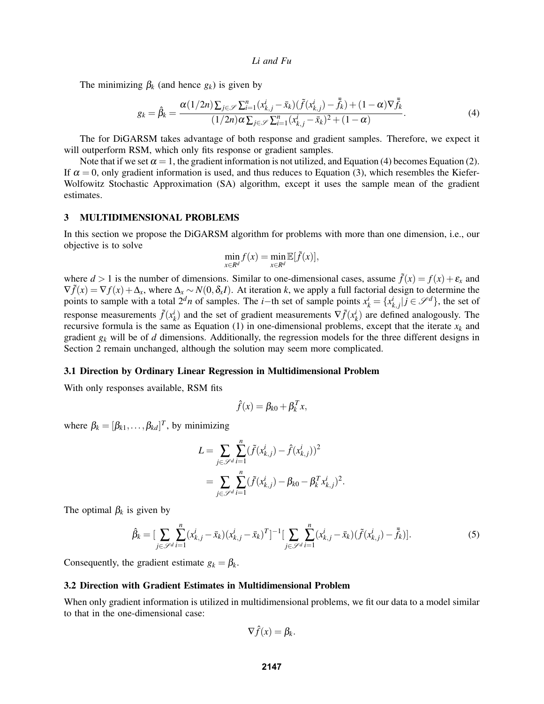The minimizing  $\beta_k$  (and hence  $g_k$ ) is given by

$$
g_k = \hat{\beta}_k = \frac{\alpha(1/2n)\sum_{j \in \mathscr{S}}\sum_{i=1}^n (x_{k,j}^i - \bar{x}_k)(\tilde{f}(x_{k,j}^i) - \bar{\tilde{f}}_k) + (1 - \alpha)\nabla \bar{\tilde{f}}_k}{(1/2n)\alpha \sum_{j \in \mathscr{S}}\sum_{i=1}^n (x_{k,j}^i - \bar{x}_k)^2 + (1 - \alpha)}.
$$
\n(4)

The for DiGARSM takes advantage of both response and gradient samples. Therefore, we expect it will outperform RSM, which only fits response or gradient samples.

Note that if we set  $\alpha = 1$ , the gradient information is not utilized, and Equation (4) becomes Equation (2). If  $\alpha = 0$ , only gradient information is used, and thus reduces to Equation (3), which resembles the Kiefer-Wolfowitz Stochastic Approximation (SA) algorithm, except it uses the sample mean of the gradient estimates.

## 3 MULTIDIMENSIONAL PROBLEMS

In this section we propose the DiGARSM algorithm for problems with more than one dimension, i.e., our objective is to solve

$$
\min_{x \in R^d} f(x) = \min_{x \in R^d} \mathbb{E}[\tilde{f}(x)],
$$

where  $d > 1$  is the number of dimensions. Similar to one-dimensional cases, assume  $\tilde{f}(x) = f(x) + \varepsilon_x$  and  $\nabla \tilde{f}(x) = \nabla f(x) + \Delta_x$ , where  $\Delta_x \sim N(0, \delta_x I)$ . At iteration *k*, we apply a full factorial design to determine the points to sample with a total  $2^dn$  of samples. The *i*−th set of sample points  $x_k^i = \{x_{k,j}^i | j \in \mathcal{S}^d\}$ , the set of response measurements  $\tilde{f}(x_k^i)$  and the set of gradient measurements  $\nabla \tilde{f}(x_k^i)$  are defined analogously. The recursive formula is the same as Equation (1) in one-dimensional problems, except that the iterate  $x_k$  and gradient *g<sup>k</sup>* will be of *d* dimensions. Additionally, the regression models for the three different designs in Section 2 remain unchanged, although the solution may seem more complicated.

#### 3.1 Direction by Ordinary Linear Regression in Multidimensional Problem

With only responses available, RSM fits

$$
\hat{f}(x) = \beta_{k0} + \beta_k^T x,
$$

where  $\beta_k = [\beta_{k1}, \dots, \beta_{kd}]^T$ , by minimizing

$$
L = \sum_{j \in \mathcal{S}^d} \sum_{i=1}^n (\tilde{f}(x_{k,j}^i) - \hat{f}(x_{k,j}^i))^2
$$
  
= 
$$
\sum_{j \in \mathcal{S}^d} \sum_{i=1}^n (\tilde{f}(x_{k,j}^i) - \beta_{k0} - \beta_k^T x_{k,j}^i)^2.
$$

The optimal  $\beta_k$  is given by

$$
\hat{\beta}_k = \left[ \sum_{j \in \mathcal{S}^d} \sum_{i=1}^n (x_{k,j}^i - \bar{x}_k)(x_{k,j}^i - \bar{x}_k)^T \right]^{-1} \left[ \sum_{j \in \mathcal{S}^d} \sum_{i=1}^n (x_{k,j}^i - \bar{x}_k)(\tilde{f}(x_{k,j}^i) - \bar{\tilde{f}}_k) \right].
$$
\n(5)

Consequently, the gradient estimate  $g_k = \beta_k$ .

## 3.2 Direction with Gradient Estimates in Multidimensional Problem

When only gradient information is utilized in multidimensional problems, we fit our data to a model similar to that in the one-dimensional case:

$$
\nabla \hat{f}(x) = \beta_k.
$$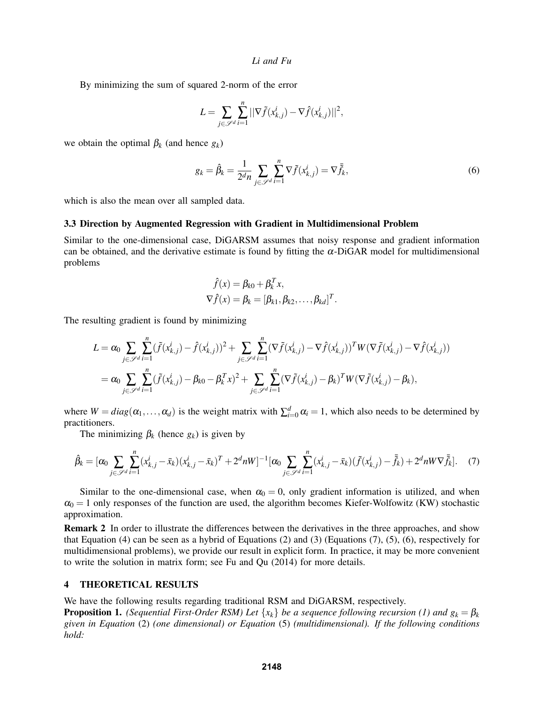By minimizing the sum of squared 2-norm of the error

$$
L = \sum_{j \in \mathcal{S}^d} \sum_{i=1}^n ||\nabla \tilde{f}(x_{k,j}^i) - \nabla \hat{f}(x_{k,j}^i)||^2,
$$

we obtain the optimal  $\beta_k$  (and hence  $g_k$ )

$$
g_k = \hat{\beta}_k = \frac{1}{2^d n} \sum_{j \in \mathcal{S}^d} \sum_{i=1}^n \nabla \tilde{f}(x_{k,j}^i) = \nabla \bar{\tilde{f}}_k,\tag{6}
$$

which is also the mean over all sampled data.

#### 3.3 Direction by Augmented Regression with Gradient in Multidimensional Problem

Similar to the one-dimensional case, DiGARSM assumes that noisy response and gradient information can be obtained, and the derivative estimate is found by fitting the  $\alpha$ -DiGAR model for multidimensional problems

$$
\hat{f}(x) = \beta_{k0} + \beta_k^T x,
$$
  
\n
$$
\nabla \hat{f}(x) = \beta_k = [\beta_{k1}, \beta_{k2}, \dots, \beta_{kd}]^T.
$$

The resulting gradient is found by minimizing

$$
L = \alpha_0 \sum_{j \in \mathcal{S}^d} \sum_{i=1}^n (\tilde{f}(x_{k,j}^i) - \hat{f}(x_{k,j}^i))^2 + \sum_{j \in \mathcal{S}^d} \sum_{i=1}^n (\nabla \tilde{f}(x_{k,j}^i) - \nabla \hat{f}(x_{k,j}^i))^T W (\nabla \tilde{f}(x_{k,j}^i) - \nabla \hat{f}(x_{k,j}^i))
$$
  
=  $\alpha_0 \sum_{j \in \mathcal{S}^d} \sum_{i=1}^n (\tilde{f}(x_{k,j}^i) - \beta_{k0} - \beta_k^T x)^2 + \sum_{j \in \mathcal{S}^d} \sum_{i=1}^n (\nabla \tilde{f}(x_{k,j}^i) - \beta_k)^T W (\nabla \tilde{f}(x_{k,j}^i) - \beta_k),$ 

where  $W = diag(\alpha_1, ..., \alpha_d)$  is the weight matrix with  $\sum_{i=0}^{d} \alpha_i = 1$ , which also needs to be determined by practitioners.

The minimizing  $\beta_k$  (hence  $g_k$ ) is given by

$$
\hat{\beta}_k = [\alpha_0 \sum_{j \in \mathcal{S}^d} \sum_{i=1}^n (x_{k,j}^i - \bar{x}_k)(x_{k,j}^i - \bar{x}_k)^T + 2^d n W]^{-1} [\alpha_0 \sum_{j \in \mathcal{S}^d} \sum_{i=1}^n (x_{k,j}^i - \bar{x}_k)(\tilde{f}(x_{k,j}^i) - \bar{\tilde{f}}_k) + 2^d n W \nabla \bar{\tilde{f}}_k].
$$
 (7)

Similar to the one-dimensional case, when  $\alpha_0 = 0$ , only gradient information is utilized, and when  $\alpha_0 = 1$  only responses of the function are used, the algorithm becomes Kiefer-Wolfowitz (KW) stochastic approximation.

Remark 2 In order to illustrate the differences between the derivatives in the three approaches, and show that Equation (4) can be seen as a hybrid of Equations (2) and (3) (Equations (7), (5), (6), respectively for multidimensional problems), we provide our result in explicit form. In practice, it may be more convenient to write the solution in matrix form; see Fu and Qu (2014) for more details.

#### 4 THEORETICAL RESULTS

We have the following results regarding traditional RSM and DiGARSM, respectively.

**Proposition 1.** *(Sequential First-Order RSM) Let*  $\{x_k\}$  *be a sequence following recursion (1) and*  $g_k = \beta_k$ *given in Equation* (2) *(one dimensional) or Equation* (5) *(multidimensional). If the following conditions hold:*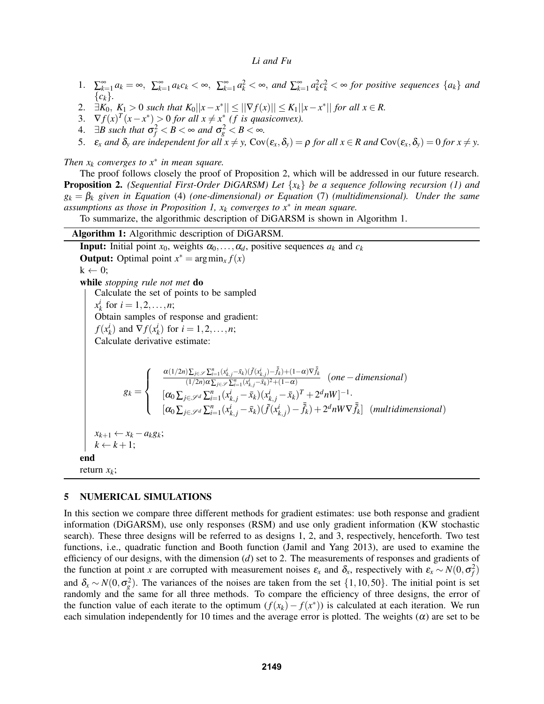- 1.  $\sum_{k=1}^{\infty} a_k = \infty$ ,  $\sum_{k=1}^{\infty} a_k c_k < \infty$ ,  $\sum_{k=1}^{\infty} a_k^2 < \infty$ , and  $\sum_{k=1}^{\infty} a_k^2 c_k^2 < \infty$  for positive sequences  $\{a_k\}$  and {*ck*}*.*
- 2.  $\exists K_0, K_1 > 0$  such that  $K_0||x x^*|| \le ||\nabla f(x)|| \le K_1||x x^*||$  for all  $x \in R$ .
- 3.  $\nabla f(x)^T(x-x^*) > 0$  *for all*  $x \neq x^*$  *(f is quasiconvex).*
- 4.  $\exists B$  such that  $\sigma_f^2 < B < \infty$  and  $\sigma_g^2 < B < \infty$ .
- 5.  $\varepsilon_x$  and  $\delta_y$  are independent for all  $x \neq y$ ,  $Cov(\varepsilon_x, \delta_y) = \rho$  for all  $x \in R$  and  $Cov(\varepsilon_x, \delta_y) = 0$  for  $x \neq y$ .

*Then x<sup>k</sup> converges to x*<sup>∗</sup> *in mean square.*

The proof follows closely the proof of Proposition 2, which will be addressed in our future research. Proposition 2. *(Sequential First-Order DiGARSM) Let* {*xk*} *be a sequence following recursion (1) and g<sup>k</sup>* = β*<sup>k</sup> given in Equation* (4) *(one-dimensional) or Equation* (7) *(multidimensional). Under the same assumptions as those in Proposition 1, x<sup>k</sup> converges to x*<sup>∗</sup> *in mean square.*

To summarize, the algorithmic description of DiGARSM is shown in Algorithm 1.

# Algorithm 1: Algorithmic description of DiGARSM.

**Input:** Initial point  $x_0$ , weights  $\alpha_0, \ldots, \alpha_d$ , positive sequences  $a_k$  and  $c_k$ **Output:** Optimal point  $x^* = \arg\min_x f(x)$  $k \leftarrow 0$ : while *stopping rule not met* do Calculate the set of points to be sampled  $x_k^i$  for  $i = 1, 2, ..., n;$ Obtain samples of response and gradient: *f*( $x_k^i$ ) and  $\nabla f(x_k^i)$  for  $i = 1, 2, \ldots, n$ ; Calculate derivative estimate:  $g_k =$  $\sqrt{ }$  $\int$  $\overline{\mathcal{L}}$  $\alpha(1/2n)\sum_{j\in\mathscr{S}}\sum_{i=1}^n(x_{k,j}^i-\bar{x}_k)(\tilde{f}(x_{k,j}^i)-\bar{\tilde{f}}_k)+(1-\alpha)\nabla\bar{\tilde{f}}_k$  $\frac{\sum_{j\in\mathscr{S}}\sum_{i=1}^n(x_{k,j}^i-x_k)(\sqrt{x_{k,j}})-j\sqrt{x+1}-\alpha\sqrt{x}}{(1/2n)\alpha\sum_{j\in\mathscr{S}}\sum_{i=1}^n(x_{k,j}^i-\bar{x}_k)^2+(1-\alpha)}$  (one - dimensional)  $[\alpha_0 \sum_{j \in \mathscr{S}^d} \sum_{i=1}^n (x_{k,j}^i - \bar{x}_k)(x_{k,j}^i - \bar{x}_k)^T + 2^d nW]^{-1}$  $[\alpha_0 \sum_{j \in \mathscr{S}^d} \sum_{i=1}^n (x_{k,j}^i - \bar{x}_k)(\tilde{f}(x_{k,j}^i) - \bar{\tilde{f}}_k) + 2^d nW \nabla \bar{\tilde{f}}_k]$  (multidimensional)  $x_{k+1}$  ←  $x_k - a_k g_k$ ;  $k \leftarrow k+1$ ; end return *xk*;

## 5 NUMERICAL SIMULATIONS

In this section we compare three different methods for gradient estimates: use both response and gradient information (DiGARSM), use only responses (RSM) and use only gradient information (KW stochastic search). These three designs will be referred to as designs 1, 2, and 3, respectively, henceforth. Two test functions, i.e., quadratic function and Booth function (Jamil and Yang 2013), are used to examine the efficiency of our designs, with the dimension (*d*) set to 2. The measurements of responses and gradients of the function at point *x* are corrupted with measurement noises  $\varepsilon_x$  and  $\delta_x$ , respectively with  $\varepsilon_x \sim N(0, \sigma_f^2)$ and  $\delta_x \sim N(0, \sigma_g^2)$ . The variances of the noises are taken from the set  $\{1, 10, 50\}$ . The initial point is set randomly and the same for all three methods. To compare the efficiency of three designs, the error of the function value of each iterate to the optimum  $(f(x_k) - f(x^*))$  is calculated at each iteration. We run each simulation independently for 10 times and the average error is plotted. The weights  $(\alpha)$  are set to be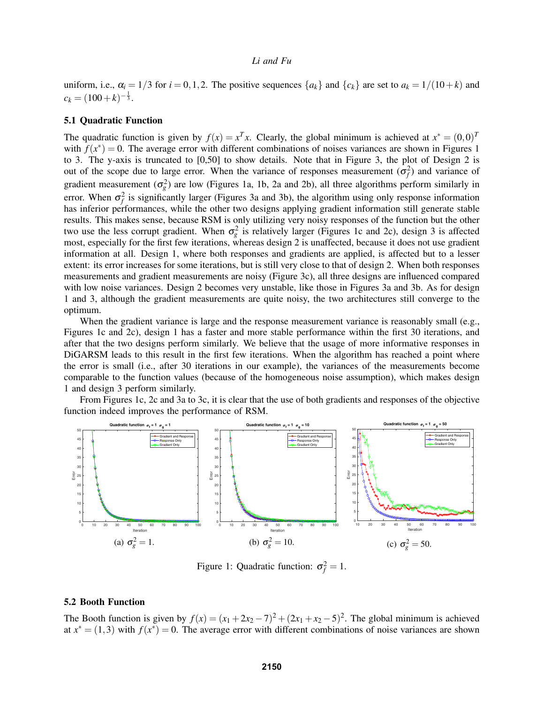uniform, i.e.,  $\alpha_i = 1/3$  for  $i = 0, 1, 2$ . The positive sequences  $\{a_k\}$  and  $\{c_k\}$  are set to  $a_k = 1/(10+k)$  and  $c_k = (100 + k)^{-\frac{1}{3}}$ .

#### 5.1 Quadratic Function

The quadratic function is given by  $f(x) = x^T x$ . Clearly, the global minimum is achieved at  $x^* = (0,0)^T$ with  $f(x^*) = 0$ . The average error with different combinations of noises variances are shown in Figures 1 to 3. The y-axis is truncated to [0,50] to show details. Note that in Figure 3, the plot of Design 2 is out of the scope due to large error. When the variance of responses measurement  $(\sigma_f^2)$  and variance of gradient measurement  $(\sigma_g^2)$  are low (Figures 1a, 1b, 2a and 2b), all three algorithms perform similarly in error. When  $\sigma_f^2$  is significantly larger (Figures 3a and 3b), the algorithm using only response information has inferior performances, while the other two designs applying gradient information still generate stable results. This makes sense, because RSM is only utilizing very noisy responses of the function but the other two use the less corrupt gradient. When  $\sigma_g^2$  is relatively larger (Figures 1c and 2c), design 3 is affected most, especially for the first few iterations, whereas design 2 is unaffected, because it does not use gradient information at all. Design 1, where both responses and gradients are applied, is affected but to a lesser extent: its error increases for some iterations, but is still very close to that of design 2. When both responses measurements and gradient measurements are noisy (Figure 3c), all three designs are influenced compared with low noise variances. Design 2 becomes very unstable, like those in Figures 3a and 3b. As for design 1 and 3, although the gradient measurements are quite noisy, the two architectures still converge to the optimum.

When the gradient variance is large and the response measurement variance is reasonably small (e.g., Figures 1c and 2c), design 1 has a faster and more stable performance within the first 30 iterations, and after that the two designs perform similarly. We believe that the usage of more informative responses in DiGARSM leads to this result in the first few iterations. When the algorithm has reached a point where the error is small (i.e., after 30 iterations in our example), the variances of the measurements become comparable to the function values (because of the homogeneous noise assumption), which makes design 1 and design 3 perform similarly.

From Figures 1c, 2c and 3a to 3c, it is clear that the use of both gradients and responses of the objective function indeed improves the performance of RSM.



Figure 1: Quadratic function:  $\sigma_f^2 = 1$ .

## 5.2 Booth Function

The Booth function is given by  $f(x) = (x_1 + 2x_2 - 7)^2 + (2x_1 + x_2 - 5)^2$ . The global minimum is achieved at  $x^* = (1,3)$  with  $f(x^*) = 0$ . The average error with different combinations of noise variances are shown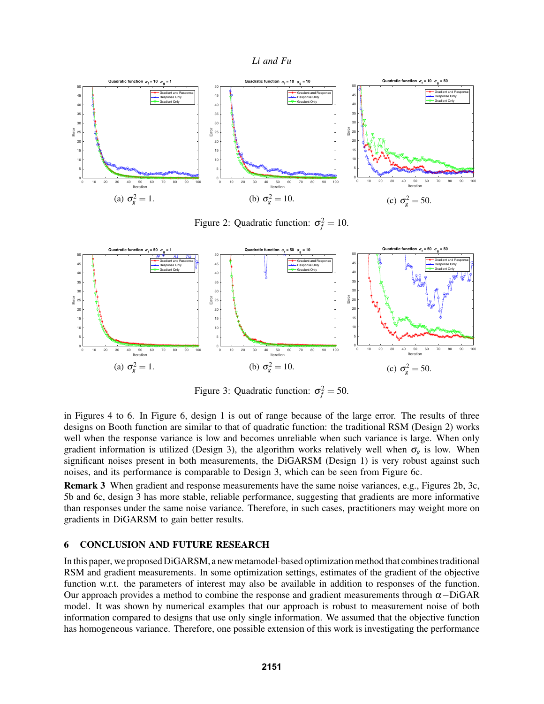



Figure 2: Quadratic function:  $\sigma_f^2 = 10$ .



Figure 3: Quadratic function:  $\sigma_f^2 = 50$ .

in Figures 4 to 6. In Figure 6, design 1 is out of range because of the large error. The results of three designs on Booth function are similar to that of quadratic function: the traditional RSM (Design 2) works well when the response variance is low and becomes unreliable when such variance is large. When only gradient information is utilized (Design 3), the algorithm works relatively well when  $\sigma_g$  is low. When significant noises present in both measurements, the DiGARSM (Design 1) is very robust against such noises, and its performance is comparable to Design 3, which can be seen from Figure 6c.

Remark 3 When gradient and response measurements have the same noise variances, e.g., Figures 2b, 3c, 5b and 6c, design 3 has more stable, reliable performance, suggesting that gradients are more informative than responses under the same noise variance. Therefore, in such cases, practitioners may weight more on gradients in DiGARSM to gain better results.

## 6 CONCLUSION AND FUTURE RESEARCH

In this paper, we proposed DiGARSM, a new metamodel-based optimization method that combines traditional RSM and gradient measurements. In some optimization settings, estimates of the gradient of the objective function w.r.t. the parameters of interest may also be available in addition to responses of the function. Our approach provides a method to combine the response and gradient measurements through  $\alpha$ –DiGAR model. It was shown by numerical examples that our approach is robust to measurement noise of both information compared to designs that use only single information. We assumed that the objective function has homogeneous variance. Therefore, one possible extension of this work is investigating the performance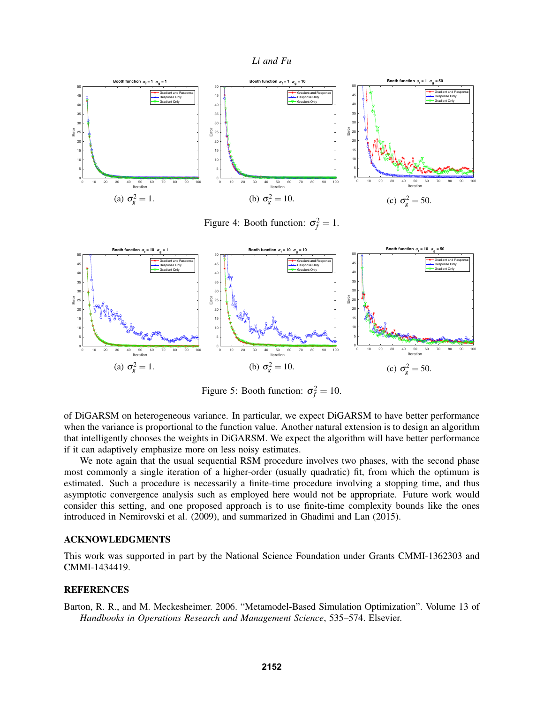



Figure 5: Booth function:  $\sigma_f^2 = 10$ .

of DiGARSM on heterogeneous variance. In particular, we expect DiGARSM to have better performance when the variance is proportional to the function value. Another natural extension is to design an algorithm that intelligently chooses the weights in DiGARSM. We expect the algorithm will have better performance if it can adaptively emphasize more on less noisy estimates.

We note again that the usual sequential RSM procedure involves two phases, with the second phase most commonly a single iteration of a higher-order (usually quadratic) fit, from which the optimum is estimated. Such a procedure is necessarily a finite-time procedure involving a stopping time, and thus asymptotic convergence analysis such as employed here would not be appropriate. Future work would consider this setting, and one proposed approach is to use finite-time complexity bounds like the ones introduced in Nemirovski et al. (2009), and summarized in Ghadimi and Lan (2015).

#### ACKNOWLEDGMENTS

This work was supported in part by the National Science Foundation under Grants CMMI-1362303 and CMMI-1434419.

#### **REFERENCES**

Barton, R. R., and M. Meckesheimer. 2006. "Metamodel-Based Simulation Optimization". Volume 13 of *Handbooks in Operations Research and Management Science*, 535–574. Elsevier.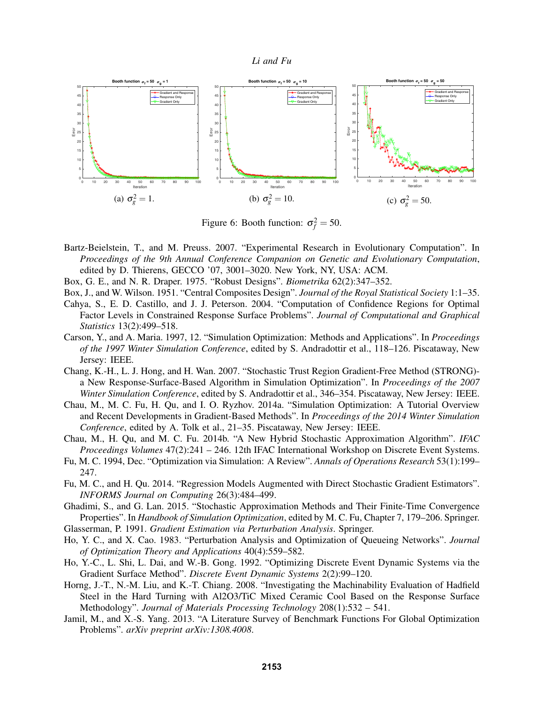

Figure 6: Booth function:  $\sigma_f^2 = 50$ .

- Bartz-Beielstein, T., and M. Preuss. 2007. "Experimental Research in Evolutionary Computation". In *Proceedings of the 9th Annual Conference Companion on Genetic and Evolutionary Computation*, edited by D. Thierens, GECCO '07, 3001–3020. New York, NY, USA: ACM.
- Box, G. E., and N. R. Draper. 1975. "Robust Designs". *Biometrika* 62(2):347–352.
- Box, J., and W. Wilson. 1951. "Central Composites Design". *Journal of the Royal Statistical Society* 1:1–35.
- Cahya, S., E. D. Castillo, and J. J. Peterson. 2004. "Computation of Confidence Regions for Optimal Factor Levels in Constrained Response Surface Problems". *Journal of Computational and Graphical Statistics* 13(2):499–518.
- Carson, Y., and A. Maria. 1997, 12. "Simulation Optimization: Methods and Applications". In *Proceedings of the 1997 Winter Simulation Conference*, edited by S. Andradottir et al., 118–126. Piscataway, New Jersey: IEEE.
- Chang, K.-H., L. J. Hong, and H. Wan. 2007. "Stochastic Trust Region Gradient-Free Method (STRONG) a New Response-Surface-Based Algorithm in Simulation Optimization". In *Proceedings of the 2007 Winter Simulation Conference*, edited by S. Andradottir et al., 346–354. Piscataway, New Jersey: IEEE.
- Chau, M., M. C. Fu, H. Qu, and I. O. Ryzhov. 2014a. "Simulation Optimization: A Tutorial Overview and Recent Developments in Gradient-Based Methods". In *Proceedings of the 2014 Winter Simulation Conference*, edited by A. Tolk et al., 21–35. Piscataway, New Jersey: IEEE.
- Chau, M., H. Qu, and M. C. Fu. 2014b. "A New Hybrid Stochastic Approximation Algorithm". *IFAC Proceedings Volumes* 47(2):241 – 246. 12th IFAC International Workshop on Discrete Event Systems.
- Fu, M. C. 1994, Dec. "Optimization via Simulation: A Review". *Annals of Operations Research* 53(1):199– 247.
- Fu, M. C., and H. Qu. 2014. "Regression Models Augmented with Direct Stochastic Gradient Estimators". *INFORMS Journal on Computing* 26(3):484–499.
- Ghadimi, S., and G. Lan. 2015. "Stochastic Approximation Methods and Their Finite-Time Convergence Properties". In *Handbook of Simulation Optimization*, edited by M. C. Fu, Chapter 7, 179–206. Springer. Glasserman, P. 1991. *Gradient Estimation via Perturbation Analysis*. Springer.
- 
- Ho, Y. C., and X. Cao. 1983. "Perturbation Analysis and Optimization of Queueing Networks". *Journal of Optimization Theory and Applications* 40(4):559–582.
- Ho, Y.-C., L. Shi, L. Dai, and W.-B. Gong. 1992. "Optimizing Discrete Event Dynamic Systems via the Gradient Surface Method". *Discrete Event Dynamic Systems* 2(2):99–120.
- Horng, J.-T., N.-M. Liu, and K.-T. Chiang. 2008. "Investigating the Machinability Evaluation of Hadfield Steel in the Hard Turning with Al2O3/TiC Mixed Ceramic Cool Based on the Response Surface Methodology". *Journal of Materials Processing Technology* 208(1):532 – 541.
- Jamil, M., and X.-S. Yang. 2013. "A Literature Survey of Benchmark Functions For Global Optimization Problems". *arXiv preprint arXiv:1308.4008*.